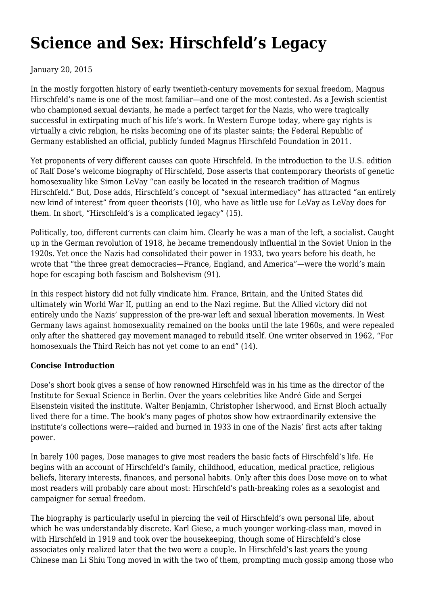# **[Science and Sex: Hirschfeld's Legacy](https://newpol.org/review/science-and-sex-hirschfelds-legacy/)**

## January 20, 2015

In the mostly forgotten history of early twentieth-century movements for sexual freedom, Magnus Hirschfeld's name is one of the most familiar—and one of the most contested. As a Jewish scientist who championed sexual deviants, he made a perfect target for the Nazis, who were tragically successful in extirpating much of his life's work. In Western Europe today, where gay rights is virtually a civic religion, he risks becoming one of its plaster saints; the Federal Republic of Germany established an official, publicly funded Magnus Hirschfeld Foundation in 2011.

Yet proponents of very different causes can quote Hirschfeld. In the introduction to the U.S. edition of Ralf Dose's welcome biography of Hirschfeld, Dose asserts that contemporary theorists of genetic homosexuality like Simon LeVay "can easily be located in the research tradition of Magnus Hirschfeld." But, Dose adds, Hirschfeld's concept of "sexual intermediacy" has attracted "an entirely new kind of interest" from queer theorists (10), who have as little use for LeVay as LeVay does for them. In short, "Hirschfeld's is a complicated legacy" (15).

Politically, too, different currents can claim him. Clearly he was a man of the left, a socialist. Caught up in the German revolution of 1918, he became tremendously influential in the Soviet Union in the 1920s. Yet once the Nazis had consolidated their power in 1933, two years before his death, he wrote that "the three great democracies—France, England, and America"—were the world's main hope for escaping both fascism and Bolshevism (91).

In this respect history did not fully vindicate him. France, Britain, and the United States did ultimately win World War II, putting an end to the Nazi regime. But the Allied victory did not entirely undo the Nazis' suppression of the pre-war left and sexual liberation movements. In West Germany laws against homosexuality remained on the books until the late 1960s, and were repealed only after the shattered gay movement managed to rebuild itself. One writer observed in 1962, "For homosexuals the Third Reich has not yet come to an end" (14).

### **Concise Introduction**

Dose's short book gives a sense of how renowned Hirschfeld was in his time as the director of the Institute for Sexual Science in Berlin. Over the years celebrities like André Gide and Sergei Eisenstein visited the institute. Walter Benjamin, Christopher Isherwood, and Ernst Bloch actually lived there for a time. The book's many pages of photos show how extraordinarily extensive the institute's collections were—raided and burned in 1933 in one of the Nazis' first acts after taking power.

In barely 100 pages, Dose manages to give most readers the basic facts of Hirschfeld's life. He begins with an account of Hirschfeld's family, childhood, education, medical practice, religious beliefs, literary interests, finances, and personal habits. Only after this does Dose move on to what most readers will probably care about most: Hirschfeld's path-breaking roles as a sexologist and campaigner for sexual freedom.

The biography is particularly useful in piercing the veil of Hirschfeld's own personal life, about which he was understandably discrete. Karl Giese, a much younger working-class man, moved in with Hirschfeld in 1919 and took over the housekeeping, though some of Hirschfeld's close associates only realized later that the two were a couple. In Hirschfeld's last years the young Chinese man Li Shiu Tong moved in with the two of them, prompting much gossip among those who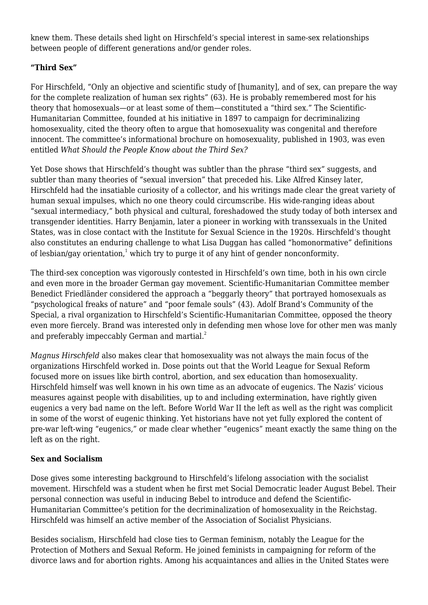knew them. These details shed light on Hirschfeld's special interest in same-sex relationships between people of different generations and/or gender roles.

## **"Third Sex"**

For Hirschfeld, "Only an objective and scientific study of [humanity], and of sex, can prepare the way for the complete realization of human sex rights" (63). He is probably remembered most for his theory that homosexuals—or at least some of them—constituted a "third sex." The Scientific-Humanitarian Committee, founded at his initiative in 1897 to campaign for decriminalizing homosexuality, cited the theory often to argue that homosexuality was congenital and therefore innocent. The committee's informational brochure on homosexuality, published in 1903, was even entitled *What Should the People Know about the Third Sex?*

Yet Dose shows that Hirschfeld's thought was subtler than the phrase "third sex" suggests, and subtler than many theories of "sexual inversion" that preceded his. Like Alfred Kinsey later, Hirschfeld had the insatiable curiosity of a collector, and his writings made clear the great variety of human sexual impulses, which no one theory could circumscribe. His wide-ranging ideas about "sexual intermediacy," both physical and cultural, foreshadowed the study today of both intersex and transgender identities. Harry Benjamin, later a pioneer in working with transsexuals in the United States, was in close contact with the Institute for Sexual Science in the 1920s. Hirschfeld's thought also constitutes an enduring challenge to what Lisa Duggan has called "homonormative" definitions of lesbian/gay orientation, $1$  which try to purge it of any hint of gender nonconformity.

The third-sex conception was vigorously contested in Hirschfeld's own time, both in his own circle and even more in the broader German gay movement. Scientific-Humanitarian Committee member Benedict Friedländer considered the approach a "beggarly theory" that portrayed homosexuals as "psychological freaks of nature" and "poor female souls" (43). Adolf Brand's Community of the Special, a rival organization to Hirschfeld's Scientific-Humanitarian Committee, opposed the theory even more fiercely. Brand was interested only in defending men whose love for other men was manly and preferably impeccably German and martial.<sup>2</sup>

*Magnus Hirschfeld* also makes clear that homosexuality was not always the main focus of the organizations Hirschfeld worked in. Dose points out that the World League for Sexual Reform focused more on issues like birth control, abortion, and sex education than homosexuality. Hirschfeld himself was well known in his own time as an advocate of eugenics. The Nazis' vicious measures against people with disabilities, up to and including extermination, have rightly given eugenics a very bad name on the left. Before World War II the left as well as the right was complicit in some of the worst of eugenic thinking. Yet historians have not yet fully explored the content of pre-war left-wing "eugenics," or made clear whether "eugenics" meant exactly the same thing on the left as on the right.

### **Sex and Socialism**

Dose gives some interesting background to Hirschfeld's lifelong association with the socialist movement. Hirschfeld was a student when he first met Social Democratic leader August Bebel. Their personal connection was useful in inducing Bebel to introduce and defend the Scientific-Humanitarian Committee's petition for the decriminalization of homosexuality in the Reichstag. Hirschfeld was himself an active member of the Association of Socialist Physicians.

Besides socialism, Hirschfeld had close ties to German feminism, notably the League for the Protection of Mothers and Sexual Reform. He joined feminists in campaigning for reform of the divorce laws and for abortion rights. Among his acquaintances and allies in the United States were